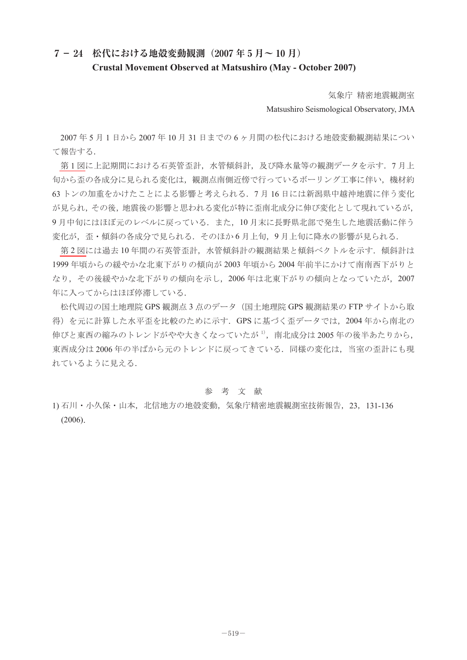## **7- 24 松代における地殻変動観測(2007 年 5 月~ 10 月) Crustal Movement Observed at Matsushiro (May - October 2007)**

気象庁 精密地震観測室

Matsushiro Seismological Observatory, JMA

2007 年 5 月 1 日から 2007 年 10 月 31 日までの 6 ヶ月間の松代における地殻変動観測結果につい て報告する.

第1[図に](#page-1-0)上記期間における石英管歪計,水管傾斜計,及び降水量等の観測データを示す. 7月上 旬から歪の各成分に見られる変化は,観測点南側近傍で行っているボーリング工事に伴い,機材約 63 トンの加重をかけたことによる影響と考えられる.7 月 16 日には新潟県中越沖地震に伴う変化 が見られ,その後,地震後の影響と思われる変化が特に歪南北成分に伸び変化として現れているが, 9月中旬にはほぼ元のレベルに戻っている. また、10月末に長野県北部で発生した地震活動に伴う 変化が、歪・傾斜の各成分で見られる. そのほか 6 月上旬,9 月上旬に降水の影響が見られる.

第2[図に](#page-2-0)は過去10年間の石英管歪計、水管傾斜計の観測結果と傾斜ベクトルを示す. 傾斜計は 1999 年頃からの緩やかな北東下がりの傾向が 2003 年頃から 2004 年前半にかけて南南西下がりと なり,その後緩やかな北下がりの傾向を示し,2006 年は北東下がりの傾向となっていたが,2007 年に入ってからはほぼ停滞している.

松代周辺の国土地理院 GPS 観測点 3 点のデータ(国土地理院 GPS 観測結果の FTP サイトから取 得)を元に計算した水平歪を比較のために示す. GPS に基づく歪データでは、2004 年から南北の 伸びと東西の縮みのトレンドがやや大きくなっていたが<sup>1)</sup>,南北成分は 2005 年の後半あたりから, 東西成分は 2006 年の半ばから元のトレンドに戻ってきている.同様の変化は,当室の歪計にも現 れているように見える.

## 参 考 文 献

1) 石川・小久保・山本, 北信地方の地殻変動, 気象庁精密地震観測室技術報告, 23, 131-136 (2006).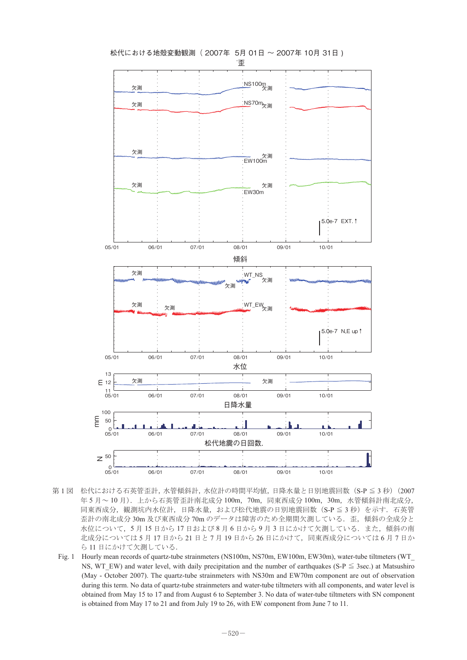<span id="page-1-0"></span>

松代における地殻変動観測( 2007年 5月 01日 ~ 2007年 10月 31日 )

- 第1図 松代における石英管歪計,水管傾斜計,水位計の時間平均値,日降水量と日別地震回数 (S-P ≦ 3 秒) (2007 年 5 月~10 月). 上から石英管歪計南北成分 100m, 70m, 同東西成分 100m, 30m, 水管傾斜計南北成分, 同東西成分,観測坑内水位計,日降水量,および松代地震の日別地震回数(S-P ≦ 3 秒)を示す. 石英管 歪計の南北成分 30m 及び東西成分 70m のデータは障害のため全期間欠測している. 歪,傾斜の全成分と 水位について,5月15日から17日および8月6日から9月3日にかけて欠測している.また、傾斜の南 北成分については 5 月 17 日から 21 日と 7 月 19 日から 26 日にかけて、同東西成分については 6 月 7 日か ら 11 日にかけて欠測している.
	- Fig. 1 Hourly mean records of quartz-tube strainmeters (NS100m, NS70m, EW100m, EW30m), water-tube tiltmeters (WT\_ NS, WT\_EW) and water level, with daily precipitation and the number of earthquakes (S-P  $\leq$  3sec.) at Matsushiro (May - October 2007). The quartz-tube strainmeters with NS30m and EW70m component are out of observation during this term. No data of quartz-tube strainmeters and water-tube tiltmeters with all components, and water level is obtained from May 15 to 17 and from August 6 to September 3. No data of water-tube tiltmeters with SN component is obtained from May 17 to 21 and from July 19 to 26, with EW component from June 7 to 11.